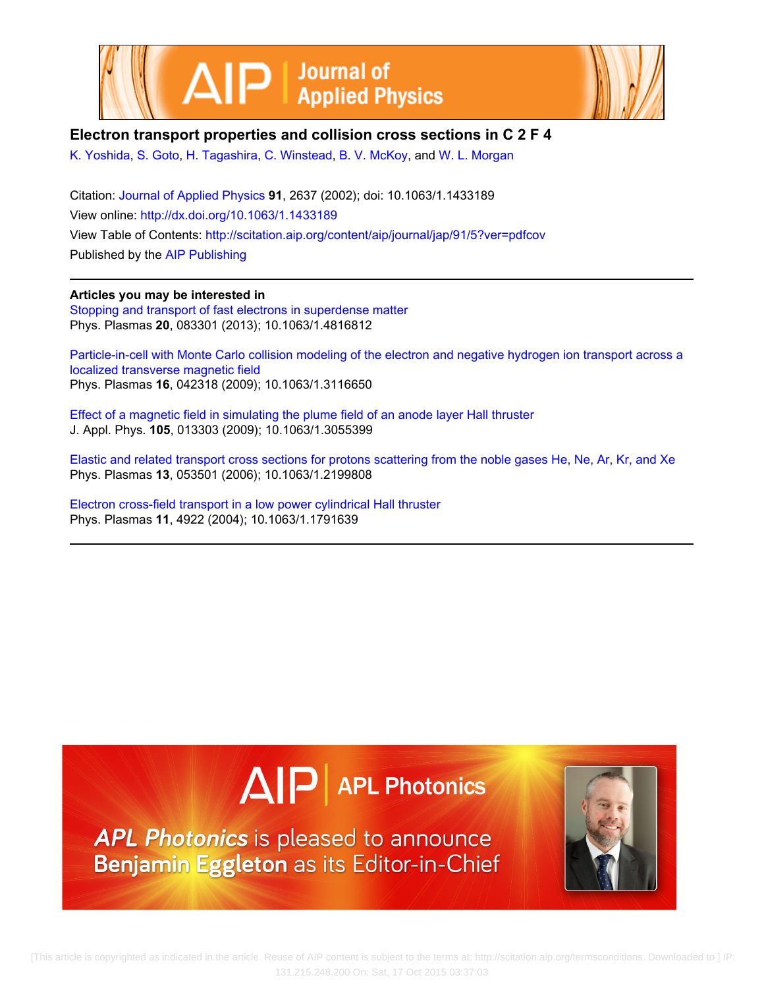



## **Electron transport properties and collision cross sections in C 2 F 4**

[K. Yoshida](http://scitation.aip.org/search?value1=K.+Yoshida&option1=author), [S. Goto,](http://scitation.aip.org/search?value1=S.+Goto&option1=author) [H. Tagashira](http://scitation.aip.org/search?value1=H.+Tagashira&option1=author), [C. Winstead](http://scitation.aip.org/search?value1=C.+Winstead&option1=author), [B. V. McKoy,](http://scitation.aip.org/search?value1=B.+V.+McKoy&option1=author) and [W. L. Morgan](http://scitation.aip.org/search?value1=W.+L.+Morgan&option1=author)

Citation: [Journal of Applied Physics](http://scitation.aip.org/content/aip/journal/jap?ver=pdfcov) **91**, 2637 (2002); doi: 10.1063/1.1433189 View online: <http://dx.doi.org/10.1063/1.1433189> View Table of Contents: <http://scitation.aip.org/content/aip/journal/jap/91/5?ver=pdfcov> Published by the [AIP Publishing](http://scitation.aip.org/content/aip?ver=pdfcov)

**Articles you may be interested in** [Stopping and transport of fast electrons in superdense matter](http://scitation.aip.org/content/aip/journal/pop/20/8/10.1063/1.4816812?ver=pdfcov) Phys. Plasmas **20**, 083301 (2013); 10.1063/1.4816812

[Particle-in-cell with Monte Carlo collision modeling of the electron and negative hydrogen ion transport across a](http://scitation.aip.org/content/aip/journal/pop/16/4/10.1063/1.3116650?ver=pdfcov) [localized transverse magnetic field](http://scitation.aip.org/content/aip/journal/pop/16/4/10.1063/1.3116650?ver=pdfcov) Phys. Plasmas **16**, 042318 (2009); 10.1063/1.3116650

[Effect of a magnetic field in simulating the plume field of an anode layer Hall thruster](http://scitation.aip.org/content/aip/journal/jap/105/1/10.1063/1.3055399?ver=pdfcov) J. Appl. Phys. **105**, 013303 (2009); 10.1063/1.3055399

[Elastic and related transport cross sections for protons scattering from the noble gases He, Ne, Ar, Kr, and Xe](http://scitation.aip.org/content/aip/journal/pop/13/5/10.1063/1.2199808?ver=pdfcov) Phys. Plasmas **13**, 053501 (2006); 10.1063/1.2199808

[Electron cross-field transport in a low power cylindrical Hall thruster](http://scitation.aip.org/content/aip/journal/pop/11/11/10.1063/1.1791639?ver=pdfcov) Phys. Plasmas **11**, 4922 (2004); 10.1063/1.1791639

# $\Delta$   $\vert P \vert$  APL Photonics

APL Photonics is pleased to announce Benjamin Eggleton as its Editor-in-Chief

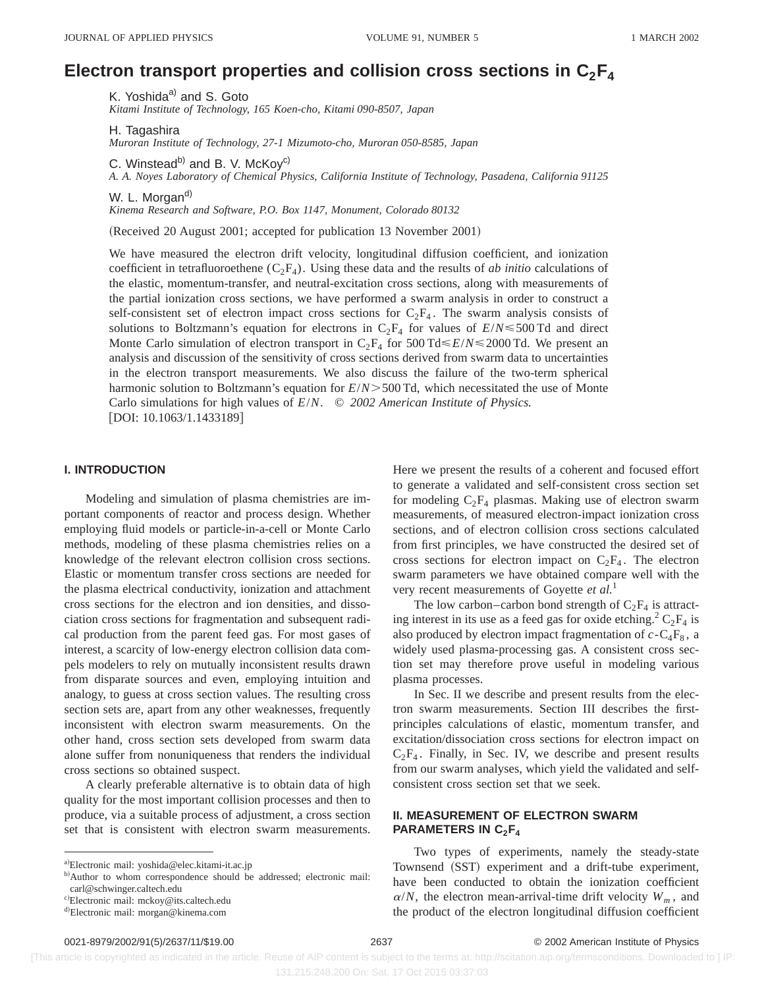## Electron transport properties and collision cross sections in  $C_2F_4$

K. Yoshida<sup>a)</sup> and S. Goto *Kitami Institute of Technology, 165 Koen-cho, Kitami 090-8507, Japan*

H. Tagashira

*Muroran Institute of Technology, 27-1 Mizumoto-cho, Muroran 050-8585, Japan*

C. Winstead<sup>b)</sup> and B. V. McKoy<sup>c)</sup>

*A. A. Noyes Laboratory of Chemical Physics, California Institute of Technology, Pasadena, California 91125*

W. L. Morgan<sup>d)</sup>

*Kinema Research and Software, P.O. Box 1147, Monument, Colorado 80132*

(Received 20 August 2001; accepted for publication 13 November 2001)

We have measured the electron drift velocity, longitudinal diffusion coefficient, and ionization coefficient in tetrafluoroethene  $(C_2F_4)$ . Using these data and the results of *ab initio* calculations of the elastic, momentum-transfer, and neutral-excitation cross sections, along with measurements of the partial ionization cross sections, we have performed a swarm analysis in order to construct a self-consistent set of electron impact cross sections for  $C_2F_4$ . The swarm analysis consists of solutions to Boltzmann's equation for electrons in  $C_2F_4$  for values of  $E/N \le 500$  Td and direct Monte Carlo simulation of electron transport in  $C_2F_4$  for 500 Td $\leq E/N \leq 2000$  Td. We present an analysis and discussion of the sensitivity of cross sections derived from swarm data to uncertainties in the electron transport measurements. We also discuss the failure of the two-term spherical harmonic solution to Boltzmann's equation for  $E/N > 500$  Td, which necessitated the use of Monte Carlo simulations for high values of *E*/*N*. © *2002 American Institute of Physics.* [DOI: 10.1063/1.1433189]

## **I. INTRODUCTION**

Modeling and simulation of plasma chemistries are important components of reactor and process design. Whether employing fluid models or particle-in-a-cell or Monte Carlo methods, modeling of these plasma chemistries relies on a knowledge of the relevant electron collision cross sections. Elastic or momentum transfer cross sections are needed for the plasma electrical conductivity, ionization and attachment cross sections for the electron and ion densities, and dissociation cross sections for fragmentation and subsequent radical production from the parent feed gas. For most gases of interest, a scarcity of low-energy electron collision data compels modelers to rely on mutually inconsistent results drawn from disparate sources and even, employing intuition and analogy, to guess at cross section values. The resulting cross section sets are, apart from any other weaknesses, frequently inconsistent with electron swarm measurements. On the other hand, cross section sets developed from swarm data alone suffer from nonuniqueness that renders the individual cross sections so obtained suspect.

A clearly preferable alternative is to obtain data of high quality for the most important collision processes and then to produce, via a suitable process of adjustment, a cross section set that is consistent with electron swarm measurements. Here we present the results of a coherent and focused effort to generate a validated and self-consistent cross section set for modeling  $C_2F_4$  plasmas. Making use of electron swarm measurements, of measured electron-impact ionization cross sections, and of electron collision cross sections calculated from first principles, we have constructed the desired set of cross sections for electron impact on  $C_2F_4$ . The electron swarm parameters we have obtained compare well with the very recent measurements of Goyette *et al.*<sup>1</sup>

The low carbon–carbon bond strength of  $C_2F_4$  is attracting interest in its use as a feed gas for oxide etching.<sup>2</sup>  $C_2F_4$  is also produced by electron impact fragmentation of  $c - C_4F_8$ , a widely used plasma-processing gas. A consistent cross section set may therefore prove useful in modeling various plasma processes.

In Sec. II we describe and present results from the electron swarm measurements. Section III describes the firstprinciples calculations of elastic, momentum transfer, and excitation/dissociation cross sections for electron impact on  $C_2F_4$ . Finally, in Sec. IV, we describe and present results from our swarm analyses, which yield the validated and selfconsistent cross section set that we seek.

## **II. MEASUREMENT OF ELECTRON SWARM PARAMETERS IN C<sub>2</sub>F<sub>4</sub>**

Two types of experiments, namely the steady-state Townsend (SST) experiment and a drift-tube experiment, have been conducted to obtain the ionization coefficient  $\alpha/N$ , the electron mean-arrival-time drift velocity  $W_m$ , and the product of the electron longitudinal diffusion coefficient

a)Electronic mail: yoshida@elec.kitami-it.ac.jp

b)Author to whom correspondence should be addressed; electronic mail: carl@schwinger.caltech.edu

c)Electronic mail: mckoy@its.caltech.edu

<sup>&</sup>lt;sup>d)</sup>Electronic mail: morgan@kinema.com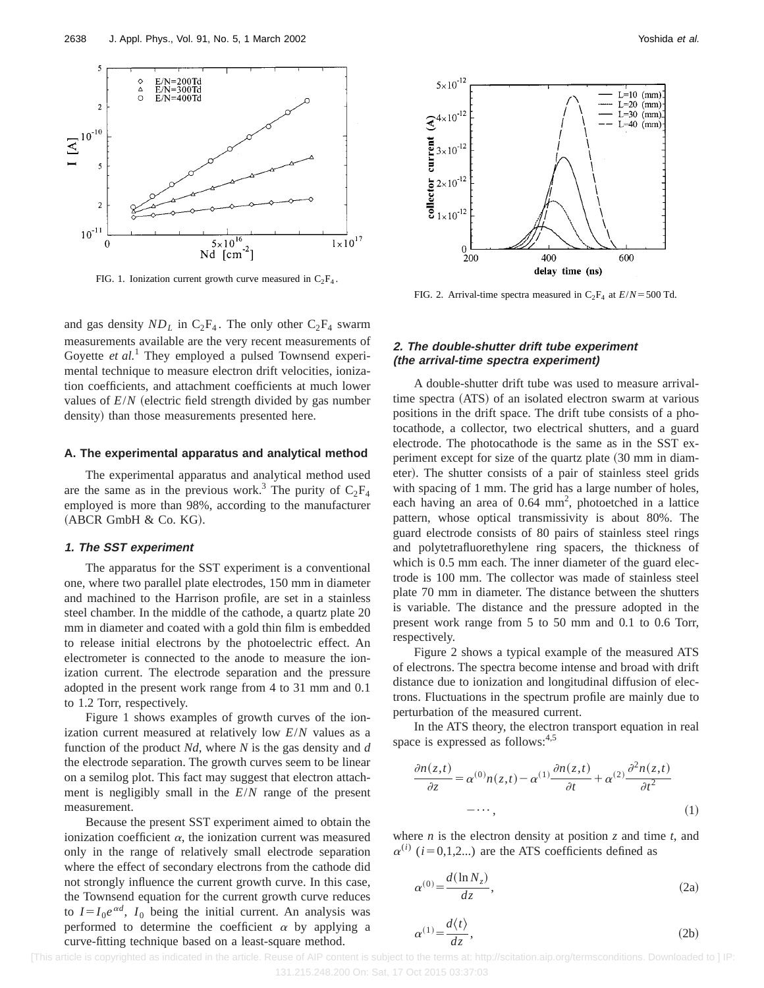

FIG. 1. Ionization current growth curve measured in  $C_2F_4$ .

and gas density  $ND_L$  in  $C_2F_4$ . The only other  $C_2F_4$  swarm measurements available are the very recent measurements of Goyette et al.<sup>1</sup> They employed a pulsed Townsend experimental technique to measure electron drift velocities, ionization coefficients, and attachment coefficients at much lower values of  $E/N$  (electric field strength divided by gas number density) than those measurements presented here.

#### **A. The experimental apparatus and analytical method**

The experimental apparatus and analytical method used are the same as in the previous work.<sup>3</sup> The purity of  $C_2F_4$ employed is more than 98%, according to the manufacturer  $(ABCR GmbH & Co. KG).$ 

## **1. The SST experiment**

The apparatus for the SST experiment is a conventional one, where two parallel plate electrodes, 150 mm in diameter and machined to the Harrison profile, are set in a stainless steel chamber. In the middle of the cathode, a quartz plate 20 mm in diameter and coated with a gold thin film is embedded to release initial electrons by the photoelectric effect. An electrometer is connected to the anode to measure the ionization current. The electrode separation and the pressure adopted in the present work range from 4 to 31 mm and 0.1 to 1.2 Torr, respectively.

Figure 1 shows examples of growth curves of the ionization current measured at relatively low *E*/*N* values as a function of the product *Nd*, where *N* is the gas density and *d* the electrode separation. The growth curves seem to be linear on a semilog plot. This fact may suggest that electron attachment is negligibly small in the *E*/*N* range of the present measurement.

Because the present SST experiment aimed to obtain the ionization coefficient  $\alpha$ , the ionization current was measured only in the range of relatively small electrode separation where the effect of secondary electrons from the cathode did not strongly influence the current growth curve. In this case, the Townsend equation for the current growth curve reduces to  $I = I_0 e^{\alpha d}$ ,  $I_0$  being the initial current. An analysis was performed to determine the coefficient  $\alpha$  by applying a curve-fitting technique based on a least-square method.



FIG. 2. Arrival-time spectra measured in  $C_2F_4$  at  $E/N = 500$  Td.

## **2. The double-shutter drift tube experiment (the arrival-time spectra experiment)**

A double-shutter drift tube was used to measure arrivaltime spectra (ATS) of an isolated electron swarm at various positions in the drift space. The drift tube consists of a photocathode, a collector, two electrical shutters, and a guard electrode. The photocathode is the same as in the SST experiment except for size of the quartz plate  $(30 \text{ mm in } 10)$ eter). The shutter consists of a pair of stainless steel grids with spacing of 1 mm. The grid has a large number of holes, each having an area of  $0.64 \text{ mm}^2$ , photoetched in a lattice pattern, whose optical transmissivity is about 80%. The guard electrode consists of 80 pairs of stainless steel rings and polytetrafluorethylene ring spacers, the thickness of which is  $0.5$  mm each. The inner diameter of the guard electrode is 100 mm. The collector was made of stainless steel plate 70 mm in diameter. The distance between the shutters is variable. The distance and the pressure adopted in the present work range from 5 to 50 mm and 0.1 to 0.6 Torr, respectively.

Figure 2 shows a typical example of the measured ATS of electrons. The spectra become intense and broad with drift distance due to ionization and longitudinal diffusion of electrons. Fluctuations in the spectrum profile are mainly due to perturbation of the measured current.

In the ATS theory, the electron transport equation in real space is expressed as follows:<sup>4,5</sup>

$$
\frac{\partial n(z,t)}{\partial z} = \alpha^{(0)}n(z,t) - \alpha^{(1)}\frac{\partial n(z,t)}{\partial t} + \alpha^{(2)}\frac{\partial^2 n(z,t)}{\partial t^2}
$$

$$
-\cdots,\tag{1}
$$

where *n* is the electron density at position *z* and time *t*, and  $\alpha^{(i)}$  (*i* = 0,1,2...) are the ATS coefficients defined as

$$
\alpha^{(0)} = \frac{d(\ln N_z)}{dz},\tag{2a}
$$

$$
\alpha^{(1)} = \frac{d\langle t \rangle}{dz},\tag{2b}
$$

 [This article is copyrighted as indicated in the article. Reuse of AIP content is subject to the terms at: http://scitation.aip.org/termsconditions. Downloaded to ] IP: 131.215.248.200 On: Sat, 17 Oct 2015 03:37:03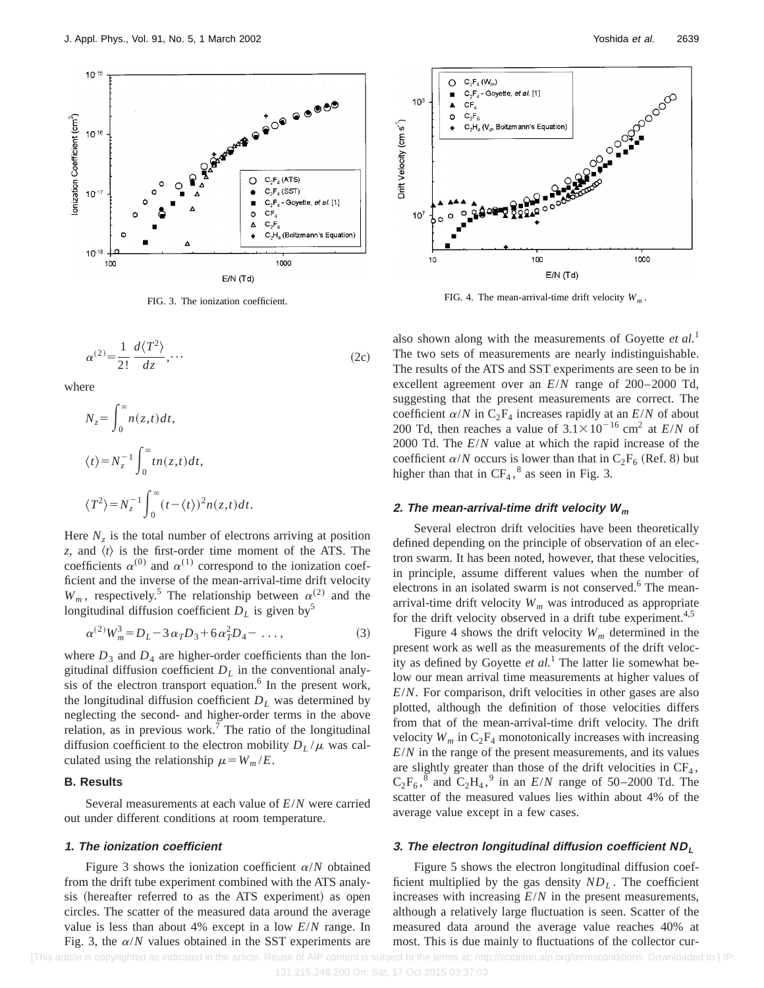

$$
\alpha^{(2)} = \frac{1}{2!} \frac{d\langle T^2 \rangle}{dz}, \cdots
$$
 (2c)

where

$$
N_z = \int_0^\infty n(z, t) dt,
$$
  
\n
$$
\langle t \rangle = N_z^{-1} \int_0^\infty t n(z, t) dt,
$$
  
\n
$$
\langle T^2 \rangle = N_z^{-1} \int_0^\infty (t - \langle t \rangle)^2 n(z, t) dt.
$$

Here  $N_z$  is the total number of electrons arriving at position *z*, and  $\langle t \rangle$  is the first-order time moment of the ATS. The coefficients  $\alpha^{(0)}$  and  $\alpha^{(1)}$  correspond to the ionization coefficient and the inverse of the mean-arrival-time drift velocity  $W_m$ , respectively.<sup>5</sup> The relationship between  $\alpha^{(2)}$  and the longitudinal diffusion coefficient  $D<sub>L</sub>$  is given by<sup>5</sup>

$$
\alpha^{(2)}W_m^3 = D_L - 3\alpha_T D_3 + 6\alpha_T^2 D_4 - \dots,
$$
\n(3)

where  $D_3$  and  $D_4$  are higher-order coefficients than the longitudinal diffusion coefficient  $D<sub>L</sub>$  in the conventional analysis of the electron transport equation. $6$  In the present work, the longitudinal diffusion coefficient  $D<sub>L</sub>$  was determined by neglecting the second- and higher-order terms in the above relation, as in previous work.<sup>7</sup> The ratio of the longitudinal diffusion coefficient to the electron mobility  $D_L/\mu$  was calculated using the relationship  $\mu = W_m / E$ .

## **B. Results**

Several measurements at each value of *E*/*N* were carried out under different conditions at room temperature.

## **1. The ionization coefficient**

Figure 3 shows the ionization coefficient  $\alpha/N$  obtained from the drift tube experiment combined with the ATS analysis (hereafter referred to as the ATS experiment) as open circles. The scatter of the measured data around the average value is less than about 4% except in a low *E*/*N* range. In Fig. 3, the  $\alpha/N$  values obtained in the SST experiments are



FIG. 3. The ionization coefficient. FIG. 4. The mean-arrival-time drift velocity  $W_m$ .

also shown along with the measurements of Goyette *et al.*<sup>1</sup> The two sets of measurements are nearly indistinguishable. The results of the ATS and SST experiments are seen to be in excellent agreement over an *E*/*N* range of 200–2000 Td, suggesting that the present measurements are correct. The coefficient  $\alpha/N$  in  $C_2F_4$  increases rapidly at an  $E/N$  of about 200 Td, then reaches a value of  $3.1 \times 10^{-16}$  cm<sup>2</sup> at *E/N* of 2000 Td. The *E*/*N* value at which the rapid increase of the coefficient  $\alpha/N$  occurs is lower than that in  $C_2F_6$  (Ref. 8) but higher than that in  $CF_4$ ,<sup>8</sup> as seen in Fig. 3.

## **2.** The mean-arrival-time drift velocity  $W_m$

Several electron drift velocities have been theoretically defined depending on the principle of observation of an electron swarm. It has been noted, however, that these velocities, in principle, assume different values when the number of electrons in an isolated swarm is not conserved.<sup>6</sup> The meanarrival-time drift velocity  $W_m$  was introduced as appropriate for the drift velocity observed in a drift tube experiment.<sup>4,5</sup>

Figure 4 shows the drift velocity  $W_m$  determined in the present work as well as the measurements of the drift velocity as defined by Goyette *et al.*<sup>1</sup> The latter lie somewhat below our mean arrival time measurements at higher values of *E*/*N*. For comparison, drift velocities in other gases are also plotted, although the definition of those velocities differs from that of the mean-arrival-time drift velocity. The drift velocity  $W_m$  in  $C_2F_4$  monotonically increases with increasing *E*/*N* in the range of the present measurements, and its values are slightly greater than those of the drift velocities in  $CF_4$ ,  $C_2F_6$ ,  $\delta$  and  $C_2H_4$ ,  $\delta$  in an *E/N* range of 50–2000 Td. The scatter of the measured values lies within about 4% of the average value except in a few cases.

## **3. The electron longitudinal diffusion coefficient ND<sup>L</sup>**

Figure 5 shows the electron longitudinal diffusion coefficient multiplied by the gas density  $ND<sub>L</sub>$ . The coefficient increases with increasing *E*/*N* in the present measurements, although a relatively large fluctuation is seen. Scatter of the measured data around the average value reaches 40% at most. This is due mainly to fluctuations of the collector cur-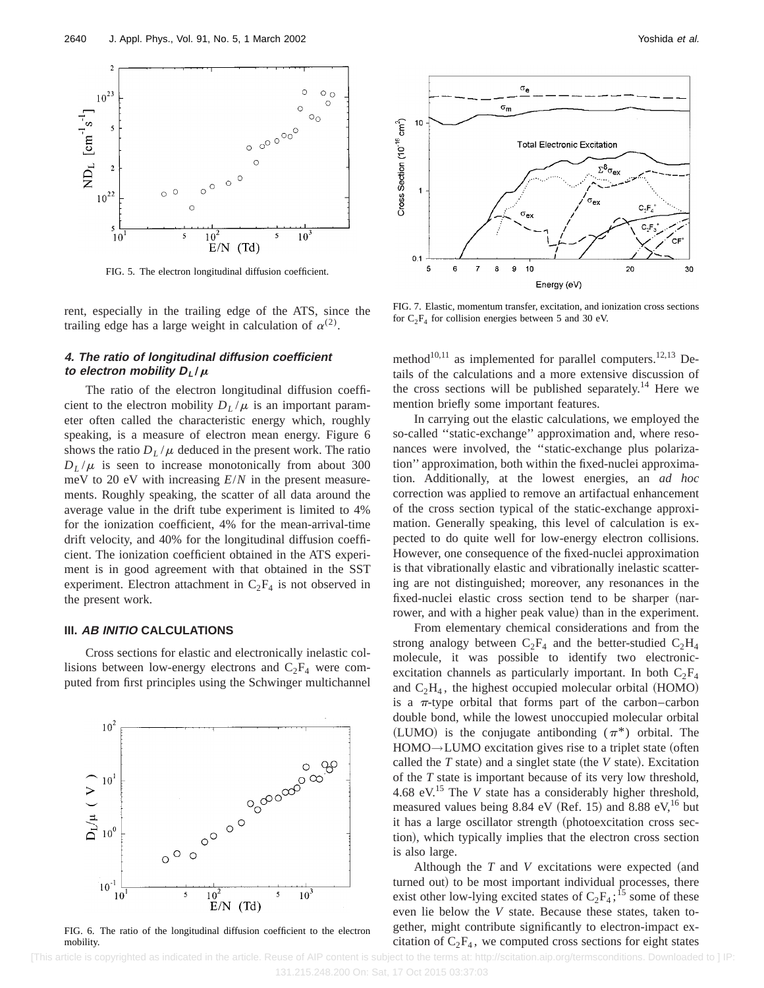

FIG. 5. The electron longitudinal diffusion coefficient.

rent, especially in the trailing edge of the ATS, since the trailing edge has a large weight in calculation of  $\alpha^{(2)}$ .

## **4. The ratio of longitudinal diffusion coefficient to** electron mobility  $D_L/\mu$

The ratio of the electron longitudinal diffusion coefficient to the electron mobility  $D_L/\mu$  is an important parameter often called the characteristic energy which, roughly speaking, is a measure of electron mean energy. Figure 6 shows the ratio  $D_L/\mu$  deduced in the present work. The ratio  $D_L/\mu$  is seen to increase monotonically from about 300 meV to 20 eV with increasing *E*/*N* in the present measurements. Roughly speaking, the scatter of all data around the average value in the drift tube experiment is limited to 4% for the ionization coefficient, 4% for the mean-arrival-time drift velocity, and 40% for the longitudinal diffusion coefficient. The ionization coefficient obtained in the ATS experiment is in good agreement with that obtained in the SST experiment. Electron attachment in  $C_2F_4$  is not observed in the present work.

## **III. AB INITIO CALCULATIONS**

Cross sections for elastic and electronically inelastic collisions between low-energy electrons and  $C_2F_4$  were computed from first principles using the Schwinger multichannel



FIG. 6. The ratio of the longitudinal diffusion coefficient to the electron mobility.



 $1<sup>C</sup>$ 



FIG. 7. Elastic, momentum transfer, excitation, and ionization cross sections for  $C_2F_4$  for collision energies between 5 and 30 eV.

method<sup>10,11</sup> as implemented for parallel computers.<sup>12,13</sup> Details of the calculations and a more extensive discussion of the cross sections will be published separately.<sup>14</sup> Here we mention briefly some important features.

In carrying out the elastic calculations, we employed the so-called ''static-exchange'' approximation and, where resonances were involved, the ''static-exchange plus polarization'' approximation, both within the fixed-nuclei approximation. Additionally, at the lowest energies, an *ad hoc* correction was applied to remove an artifactual enhancement of the cross section typical of the static-exchange approximation. Generally speaking, this level of calculation is expected to do quite well for low-energy electron collisions. However, one consequence of the fixed-nuclei approximation is that vibrationally elastic and vibrationally inelastic scattering are not distinguished; moreover, any resonances in the fixed-nuclei elastic cross section tend to be sharper (narrower, and with a higher peak value) than in the experiment.

From elementary chemical considerations and from the strong analogy between  $C_2F_4$  and the better-studied  $C_2H_4$ molecule, it was possible to identify two electronicexcitation channels as particularly important. In both  $C_2F_4$ and  $C_2H_4$ , the highest occupied molecular orbital (HOMO) is a  $\pi$ -type orbital that forms part of the carbon–carbon double bond, while the lowest unoccupied molecular orbital (LUMO) is the conjugate antibonding  $(\pi^*)$  orbital. The  $HOMO \rightarrow LUMO$  excitation gives rise to a triplet state (often called the  $T$  state) and a singlet state (the  $V$  state). Excitation of the *T* state is important because of its very low threshold, 4.68 eV.15 The *V* state has a considerably higher threshold, measured values being 8.84 eV (Ref. 15) and 8.88 eV,<sup>16</sup> but it has a large oscillator strength (photoexcitation cross section), which typically implies that the electron cross section is also large.

Although the  $T$  and  $V$  excitations were expected (and turned out) to be most important individual processes, there exist other low-lying excited states of  $C_2F_4$ ;<sup>15</sup> some of these even lie below the *V* state. Because these states, taken together, might contribute significantly to electron-impact excitation of  $C_2F_4$ , we computed cross sections for eight states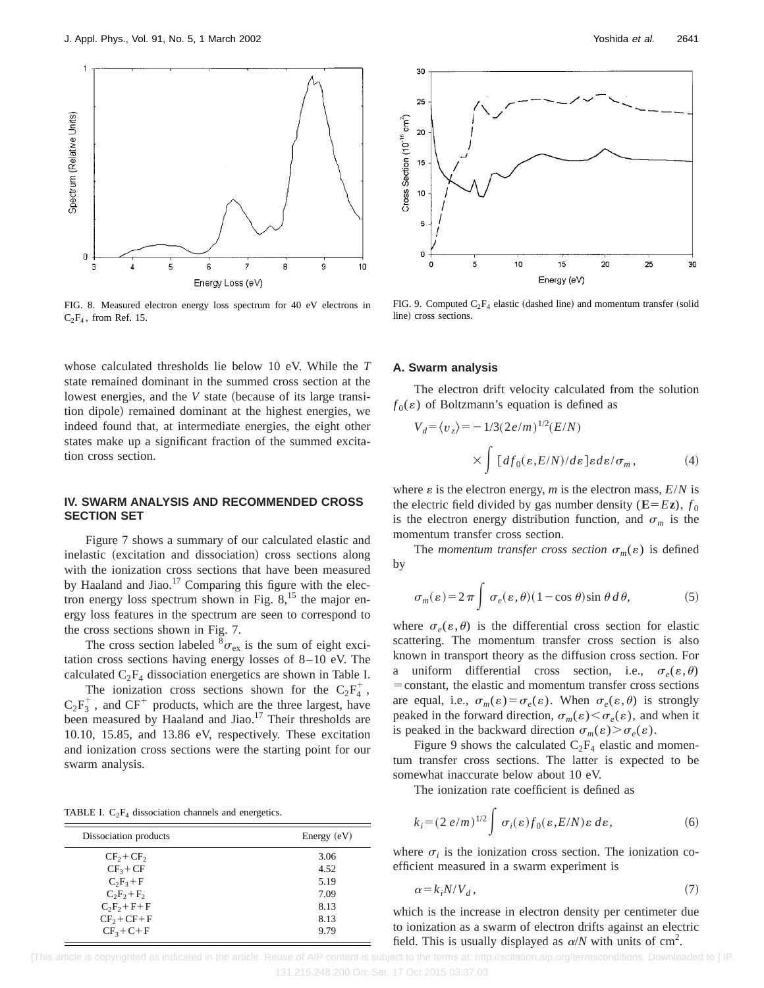

FIG. 8. Measured electron energy loss spectrum for 40 eV electrons in  $C_2F_4$ , from Ref. 15.

whose calculated thresholds lie below 10 eV. While the *T* state remained dominant in the summed cross section at the lowest energies, and the *V* state (because of its large transition dipole) remained dominant at the highest energies, we indeed found that, at intermediate energies, the eight other states make up a significant fraction of the summed excitation cross section.

## **IV. SWARM ANALYSIS AND RECOMMENDED CROSS SECTION SET**

Figure 7 shows a summary of our calculated elastic and inelastic (excitation and dissociation) cross sections along with the ionization cross sections that have been measured by Haaland and Jiao.<sup>17</sup> Comparing this figure with the electron energy loss spectrum shown in Fig.  $8<sup>15</sup>$ , the major energy loss features in the spectrum are seen to correspond to the cross sections shown in Fig. 7.

The cross section labeled  ${}^{8}\sigma_{\rm ex}$  is the sum of eight excitation cross sections having energy losses of 8–10 eV. The calculated  $C_2F_4$  dissociation energetics are shown in Table I.

The ionization cross sections shown for the  $C_2F_4^+$ ,  $C_2F_3^+$ , and  $CF^+$  products, which are the three largest, have been measured by Haaland and Jiao.<sup>17</sup> Their thresholds are 10.10, 15.85, and 13.86 eV, respectively. These excitation and ionization cross sections were the starting point for our swarm analysis.

TABLE I.  $C_2F_4$  dissociation channels and energetics.

| Dissociation products | Energy $(eV)$ |
|-----------------------|---------------|
| $CF_2 + CF_2$         | 3.06          |
| $CF3+CF$              | 4.52          |
| $C_2F_3+F$            | 5.19          |
| $C_2F_2+F_2$          | 7.09          |
| $C_2F_2+F+F$          | 8.13          |
| $CF2 + CF + F$        | 8.13          |
| $CF3+C+F$             | 9.79          |



FIG. 9. Computed  $C_2F_4$  elastic (dashed line) and momentum transfer (solid line) cross sections.

#### **A. Swarm analysis**

The electron drift velocity calculated from the solution  $f_0(\varepsilon)$  of Boltzmann's equation is defined as

$$
V_d = \langle v_z \rangle = -1/3(2e/m)^{1/2}(E/N)
$$

$$
\times \int [df_0(\varepsilon, E/N)/d\varepsilon] \varepsilon d\varepsilon / \sigma_m, \qquad (4)
$$

where  $\varepsilon$  is the electron energy, *m* is the electron mass,  $E/N$  is the electric field divided by gas number density ( $\mathbf{E} = E\mathbf{z}$ ),  $f_0$ is the electron energy distribution function, and  $\sigma_m$  is the momentum transfer cross section.

The *momentum transfer cross section*  $\sigma_m(\varepsilon)$  is defined by

$$
\sigma_m(\varepsilon) = 2\pi \int \sigma_e(\varepsilon, \theta) (1 - \cos \theta) \sin \theta \, d\theta, \tag{5}
$$

where  $\sigma$ <sub>*e*</sub>( $\varepsilon$ , $\theta$ ) is the differential cross section for elastic scattering. The momentum transfer cross section is also known in transport theory as the diffusion cross section. For a uniform differential cross section, i.e.,  $\sigma_e(\varepsilon,\theta)$ = constant, the elastic and momentum transfer cross sections are equal, i.e.,  $\sigma_m(\varepsilon) = \sigma_e(\varepsilon)$ . When  $\sigma_e(\varepsilon, \theta)$  is strongly peaked in the forward direction,  $\sigma_m(\varepsilon) \leq \sigma_\varepsilon(\varepsilon)$ , and when it is peaked in the backward direction  $\sigma_m(\varepsilon) > \sigma_e(\varepsilon)$ .

Figure 9 shows the calculated  $C_2F_4$  elastic and momentum transfer cross sections. The latter is expected to be somewhat inaccurate below about 10 eV.

The ionization rate coefficient is defined as

$$
k_i = (2 e/m)^{1/2} \int \sigma_i(\varepsilon) f_0(\varepsilon, E/N) \varepsilon \, d\varepsilon, \tag{6}
$$

where  $\sigma_i$  is the ionization cross section. The ionization coefficient measured in a swarm experiment is

$$
\alpha = k_i N / V_d \,,\tag{7}
$$

which is the increase in electron density per centimeter due to ionization as a swarm of electron drifts against an electric field. This is usually displayed as  $\alpha/N$  with units of cm<sup>2</sup>.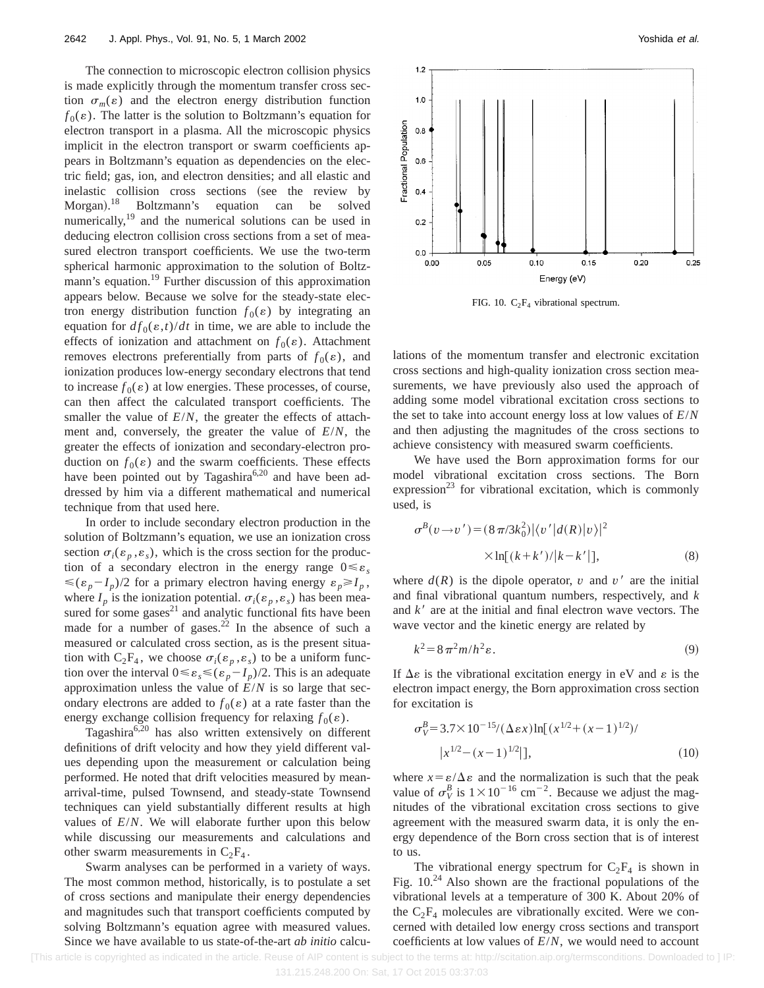The connection to microscopic electron collision physics is made explicitly through the momentum transfer cross section  $\sigma_m(\varepsilon)$  and the electron energy distribution function  $f_0(\varepsilon)$ . The latter is the solution to Boltzmann's equation for electron transport in a plasma. All the microscopic physics implicit in the electron transport or swarm coefficients appears in Boltzmann's equation as dependencies on the electric field; gas, ion, and electron densities; and all elastic and inelastic collision cross sections (see the review by Morgan).<sup>18</sup> Boltzmann's equation can be solved numerically,<sup>19</sup> and the numerical solutions can be used in deducing electron collision cross sections from a set of measured electron transport coefficients. We use the two-term spherical harmonic approximation to the solution of Boltzmann's equation.<sup>19</sup> Further discussion of this approximation appears below. Because we solve for the steady-state electron energy distribution function  $f_0(\varepsilon)$  by integrating an equation for  $df_0(\varepsilon,t)/dt$  in time, we are able to include the effects of ionization and attachment on  $f_0(\varepsilon)$ . Attachment removes electrons preferentially from parts of  $f_0(\varepsilon)$ , and ionization produces low-energy secondary electrons that tend to increase  $f_0(\varepsilon)$  at low energies. These processes, of course, can then affect the calculated transport coefficients. The smaller the value of *E*/*N*, the greater the effects of attachment and, conversely, the greater the value of *E*/*N*, the greater the effects of ionization and secondary-electron production on  $f_0(\varepsilon)$  and the swarm coefficients. These effects have been pointed out by Tagashira<sup>6,20</sup> and have been addressed by him via a different mathematical and numerical technique from that used here.

In order to include secondary electron production in the solution of Boltzmann's equation, we use an ionization cross section  $\sigma_i(\varepsilon_n, \varepsilon_s)$ , which is the cross section for the production of a secondary electron in the energy range  $0 \le \varepsilon_s$  $\leq (\varepsilon_p - I_p)/2$  for a primary electron having energy  $\varepsilon_p \geq I_p$ , where  $I_p$  is the ionization potential.  $\sigma_i(\varepsilon_p, \varepsilon_s)$  has been measured for some gases<sup>21</sup> and analytic functional fits have been made for a number of gases.<sup>22</sup> In the absence of such a measured or calculated cross section, as is the present situation with  $C_2F_4$ , we choose  $\sigma_i(\varepsilon_p, \varepsilon_s)$  to be a uniform function over the interval  $0 \le \varepsilon_s \le (\varepsilon_p - I_p)/2$ . This is an adequate approximation unless the value of *E*/*N* is so large that secondary electrons are added to  $f_0(\varepsilon)$  at a rate faster than the energy exchange collision frequency for relaxing  $f_0(\varepsilon)$ .

Tagashira<sup>6,20</sup> has also written extensively on different definitions of drift velocity and how they yield different values depending upon the measurement or calculation being performed. He noted that drift velocities measured by meanarrival-time, pulsed Townsend, and steady-state Townsend techniques can yield substantially different results at high values of *E*/*N*. We will elaborate further upon this below while discussing our measurements and calculations and other swarm measurements in  $C_2F_4$ .

Swarm analyses can be performed in a variety of ways. The most common method, historically, is to postulate a set of cross sections and manipulate their energy dependencies and magnitudes such that transport coefficients computed by solving Boltzmann's equation agree with measured values. Since we have available to us state-of-the-art *ab initio* calcu-



FIG. 10.  $C_2F_4$  vibrational spectrum.

lations of the momentum transfer and electronic excitation cross sections and high-quality ionization cross section measurements, we have previously also used the approach of adding some model vibrational excitation cross sections to the set to take into account energy loss at low values of *E*/*N* and then adjusting the magnitudes of the cross sections to achieve consistency with measured swarm coefficients.

We have used the Born approximation forms for our model vibrational excitation cross sections. The Born expression<sup>23</sup> for vibrational excitation, which is commonly used, is

$$
\sigma^{B}(v \rightarrow v') = (8 \pi/3k_0^2)|\langle v'|d(R)|v\rangle|^{2}
$$
  
 
$$
\times \ln[(k+k')/|k-k'|], \qquad (8)
$$

where  $d(R)$  is the dipole operator,  $v$  and  $v'$  are the initial and final vibrational quantum numbers, respectively, and *k* and  $k<sup>′</sup>$  are at the initial and final electron wave vectors. The wave vector and the kinetic energy are related by

$$
k^2 = 8\pi^2 m/h^2 \varepsilon. \tag{9}
$$

If  $\Delta \varepsilon$  is the vibrational excitation energy in eV and  $\varepsilon$  is the electron impact energy, the Born approximation cross section for excitation is

$$
\sigma_V^B = 3.7 \times 10^{-15} / (\Delta \varepsilon x) \ln[(x^{1/2} + (x - 1)^{1/2}) / (x^{1/2} - (x - 1)^{1/2} ] \tag{10}
$$

where  $x = \varepsilon/\Delta \varepsilon$  and the normalization is such that the peak value of  $\sigma_V^B$  is  $1 \times 10^{-16}$  cm<sup>-2</sup>. Because we adjust the magnitudes of the vibrational excitation cross sections to give agreement with the measured swarm data, it is only the energy dependence of the Born cross section that is of interest to us.

The vibrational energy spectrum for  $C_2F_4$  is shown in Fig.  $10^{24}$  Also shown are the fractional populations of the vibrational levels at a temperature of 300 K. About 20% of the  $C_2F_4$  molecules are vibrationally excited. Were we concerned with detailed low energy cross sections and transport coefficients at low values of *E*/*N*, we would need to account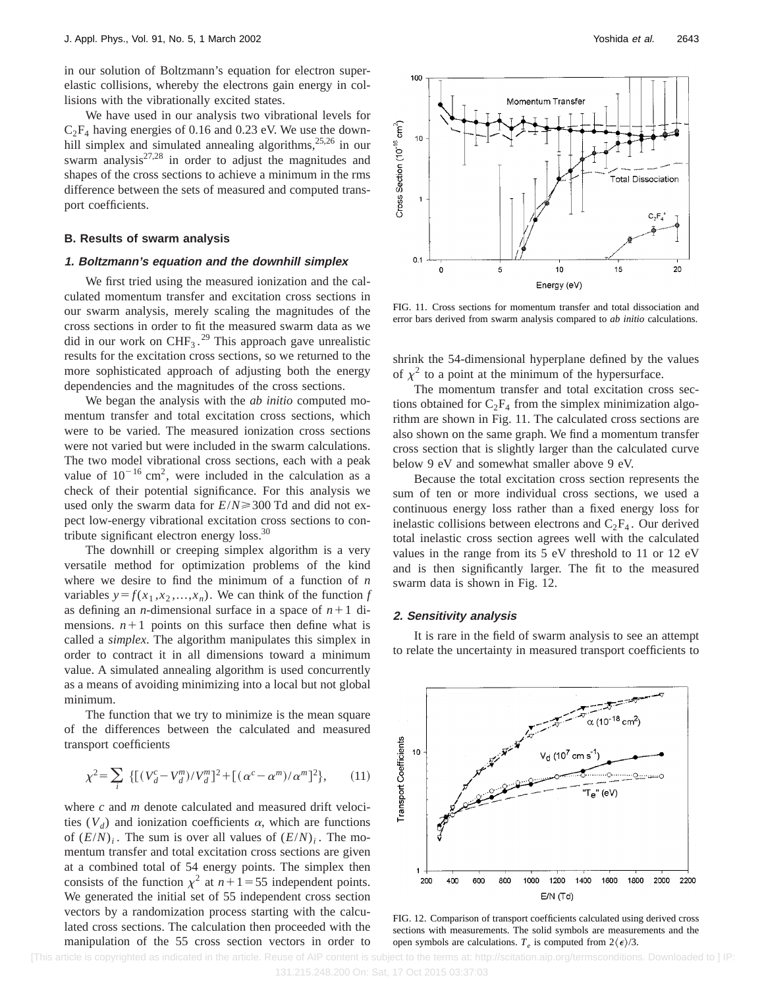in our solution of Boltzmann's equation for electron superelastic collisions, whereby the electrons gain energy in collisions with the vibrationally excited states.

We have used in our analysis two vibrational levels for  $C_2F_4$  having energies of 0.16 and 0.23 eV. We use the downhill simplex and simulated annealing algorithms,<sup>25,26</sup> in our swarm analysis $27.28$  in order to adjust the magnitudes and shapes of the cross sections to achieve a minimum in the rms difference between the sets of measured and computed transport coefficients.

## **B. Results of swarm analysis**

## **1. Boltzmann's equation and the downhill simplex**

We first tried using the measured ionization and the calculated momentum transfer and excitation cross sections in our swarm analysis, merely scaling the magnitudes of the cross sections in order to fit the measured swarm data as we did in our work on CHF<sub>3</sub>.<sup>29</sup> This approach gave unrealistic results for the excitation cross sections, so we returned to the more sophisticated approach of adjusting both the energy dependencies and the magnitudes of the cross sections.

We began the analysis with the *ab initio* computed momentum transfer and total excitation cross sections, which were to be varied. The measured ionization cross sections were not varied but were included in the swarm calculations. The two model vibrational cross sections, each with a peak value of  $10^{-16}$  cm<sup>2</sup>, were included in the calculation as a check of their potential significance. For this analysis we used only the swarm data for *E*/*N*>300 Td and did not expect low-energy vibrational excitation cross sections to contribute significant electron energy loss.<sup>30</sup>

The downhill or creeping simplex algorithm is a very versatile method for optimization problems of the kind where we desire to find the minimum of a function of *n* variables  $y = f(x_1, x_2, \ldots, x_n)$ . We can think of the function *f* as defining an *n*-dimensional surface in a space of  $n+1$  dimensions.  $n+1$  points on this surface then define what is called a *simplex*. The algorithm manipulates this simplex in order to contract it in all dimensions toward a minimum value. A simulated annealing algorithm is used concurrently as a means of avoiding minimizing into a local but not global minimum.

The function that we try to minimize is the mean square of the differences between the calculated and measured transport coefficients

$$
\chi^2 = \sum_{i} \{ [(V_d^c - V_d^m)/V_d^m]^2 + [(\alpha^c - \alpha^m)/\alpha^m]^2 \},\qquad(11)
$$

where *c* and *m* denote calculated and measured drift velocities  $(V_d)$  and ionization coefficients  $\alpha$ , which are functions of  $(E/N)_i$ . The sum is over all values of  $(E/N)_i$ . The momentum transfer and total excitation cross sections are given at a combined total of 54 energy points. The simplex then consists of the function  $\chi^2$  at  $n+1=55$  independent points. We generated the initial set of 55 independent cross section vectors by a randomization process starting with the calculated cross sections. The calculation then proceeded with the manipulation of the 55 cross section vectors in order to



FIG. 11. Cross sections for momentum transfer and total dissociation and error bars derived from swarm analysis compared to *ab initio* calculations.

shrink the 54-dimensional hyperplane defined by the values of  $\chi^2$  to a point at the minimum of the hypersurface.

The momentum transfer and total excitation cross sections obtained for  $C_2F_4$  from the simplex minimization algorithm are shown in Fig. 11. The calculated cross sections are also shown on the same graph. We find a momentum transfer cross section that is slightly larger than the calculated curve below 9 eV and somewhat smaller above 9 eV.

Because the total excitation cross section represents the sum of ten or more individual cross sections, we used a continuous energy loss rather than a fixed energy loss for inelastic collisions between electrons and  $C_2F_4$ . Our derived total inelastic cross section agrees well with the calculated values in the range from its 5 eV threshold to 11 or 12 eV and is then significantly larger. The fit to the measured swarm data is shown in Fig. 12.

## **2. Sensitivity analysis**

It is rare in the field of swarm analysis to see an attempt to relate the uncertainty in measured transport coefficients to



FIG. 12. Comparison of transport coefficients calculated using derived cross sections with measurements. The solid symbols are measurements and the open symbols are calculations.  $T_e$  is computed from  $2\langle \epsilon \rangle/3$ .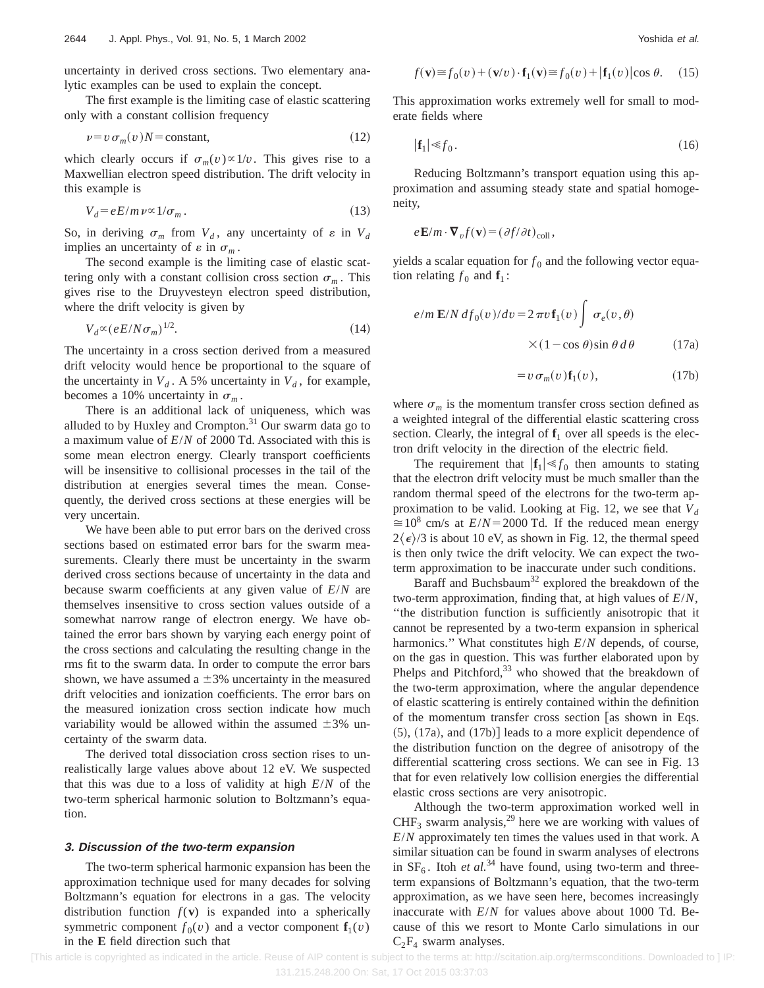uncertainty in derived cross sections. Two elementary analytic examples can be used to explain the concept.

The first example is the limiting case of elastic scattering only with a constant collision frequency

$$
\nu = v \sigma_m(v)N = \text{constant},\tag{12}
$$

which clearly occurs if  $\sigma_m(v) \propto 1/v$ . This gives rise to a Maxwellian electron speed distribution. The drift velocity in this example is

$$
V_d = eE/m \nu \propto 1/\sigma_m \,. \tag{13}
$$

So, in deriving  $\sigma_m$  from  $V_d$ , any uncertainty of  $\varepsilon$  in  $V_d$ implies an uncertainty of  $\varepsilon$  in  $\sigma_m$ .

The second example is the limiting case of elastic scattering only with a constant collision cross section  $\sigma_m$ . This gives rise to the Druyvesteyn electron speed distribution, where the drift velocity is given by

$$
V_d \propto (eE/N\sigma_m)^{1/2}.\tag{14}
$$

The uncertainty in a cross section derived from a measured drift velocity would hence be proportional to the square of the uncertainty in  $V_d$ . A 5% uncertainty in  $V_d$ , for example, becomes a 10% uncertainty in  $\sigma_m$ .

There is an additional lack of uniqueness, which was alluded to by Huxley and Crompton. $31$  Our swarm data go to a maximum value of *E*/*N* of 2000 Td. Associated with this is some mean electron energy. Clearly transport coefficients will be insensitive to collisional processes in the tail of the distribution at energies several times the mean. Consequently, the derived cross sections at these energies will be very uncertain.

We have been able to put error bars on the derived cross sections based on estimated error bars for the swarm measurements. Clearly there must be uncertainty in the swarm derived cross sections because of uncertainty in the data and because swarm coefficients at any given value of *E*/*N* are themselves insensitive to cross section values outside of a somewhat narrow range of electron energy. We have obtained the error bars shown by varying each energy point of the cross sections and calculating the resulting change in the rms fit to the swarm data. In order to compute the error bars shown, we have assumed a  $\pm 3\%$  uncertainty in the measured drift velocities and ionization coefficients. The error bars on the measured ionization cross section indicate how much variability would be allowed within the assumed  $\pm 3\%$  uncertainty of the swarm data.

The derived total dissociation cross section rises to unrealistically large values above about 12 eV. We suspected that this was due to a loss of validity at high *E*/*N* of the two-term spherical harmonic solution to Boltzmann's equation.

#### **3. Discussion of the two-term expansion**

The two-term spherical harmonic expansion has been the approximation technique used for many decades for solving Boltzmann's equation for electrons in a gas. The velocity distribution function  $f(\mathbf{v})$  is expanded into a spherically symmetric component  $f_0(v)$  and a vector component  $f_1(v)$ in the **E** field direction such that

$$
f(\mathbf{v}) \approx f_0(v) + (\mathbf{v}/v) \cdot \mathbf{f}_1(\mathbf{v}) \approx f_0(v) + |\mathbf{f}_1(v)| \cos \theta. \quad (15)
$$

This approximation works extremely well for small to moderate fields where

$$
|\mathbf{f}_1| \leqslant f_0. \tag{16}
$$

Reducing Boltzmann's transport equation using this approximation and assuming steady state and spatial homogeneity,

$$
e\mathbf{E}/m \cdot \mathbf{\nabla}_v f(\mathbf{v}) = (\partial f/\partial t)_{\text{coll}},
$$

yields a scalar equation for  $f_0$  and the following vector equation relating  $f_0$  and  $f_1$ :

$$
e/m \mathbf{E}/N df_0(v)/dv = 2 \pi v \mathbf{f}_1(v) \int \sigma_e(v, \theta)
$$

$$
\times (1 - \cos \theta) \sin \theta d\theta \qquad (17a)
$$

$$
=v\,\sigma_m(v)\mathbf{f}_1(v),\qquad(17b)
$$

where  $\sigma_m$  is the momentum transfer cross section defined as a weighted integral of the differential elastic scattering cross section. Clearly, the integral of  $f_1$  over all speeds is the electron drift velocity in the direction of the electric field.

The requirement that  $|\mathbf{f}_1| \ll f_0$  then amounts to stating that the electron drift velocity must be much smaller than the random thermal speed of the electrons for the two-term approximation to be valid. Looking at Fig. 12, we see that  $V_d$  $\approx 10^8$  cm/s at  $E/N = 2000$  Td. If the reduced mean energy  $2\langle \epsilon \rangle/3$  is about 10 eV, as shown in Fig. 12, the thermal speed is then only twice the drift velocity. We can expect the twoterm approximation to be inaccurate under such conditions.

Baraff and Buchsbaum<sup>32</sup> explored the breakdown of the two-term approximation, finding that, at high values of *E*/*N*, ''the distribution function is sufficiently anisotropic that it cannot be represented by a two-term expansion in spherical harmonics.'' What constitutes high *E*/*N* depends, of course, on the gas in question. This was further elaborated upon by Phelps and Pitchford, $33$  who showed that the breakdown of the two-term approximation, where the angular dependence of elastic scattering is entirely contained within the definition of the momentum transfer cross section  $\left[$ as shown in Eqs.  $(5)$ ,  $(17a)$ , and  $(17b)$ ] leads to a more explicit dependence of the distribution function on the degree of anisotropy of the differential scattering cross sections. We can see in Fig. 13 that for even relatively low collision energies the differential elastic cross sections are very anisotropic.

Although the two-term approximation worked well in  $CHF<sub>3</sub>$  swarm analysis,<sup>29</sup> here we are working with values of *E*/*N* approximately ten times the values used in that work. A similar situation can be found in swarm analyses of electrons in  $SF_6$ . Itoh *et al.*<sup>34</sup> have found, using two-term and threeterm expansions of Boltzmann's equation, that the two-term approximation, as we have seen here, becomes increasingly inaccurate with *E*/*N* for values above about 1000 Td. Because of this we resort to Monte Carlo simulations in our  $C_2F_4$  swarm analyses.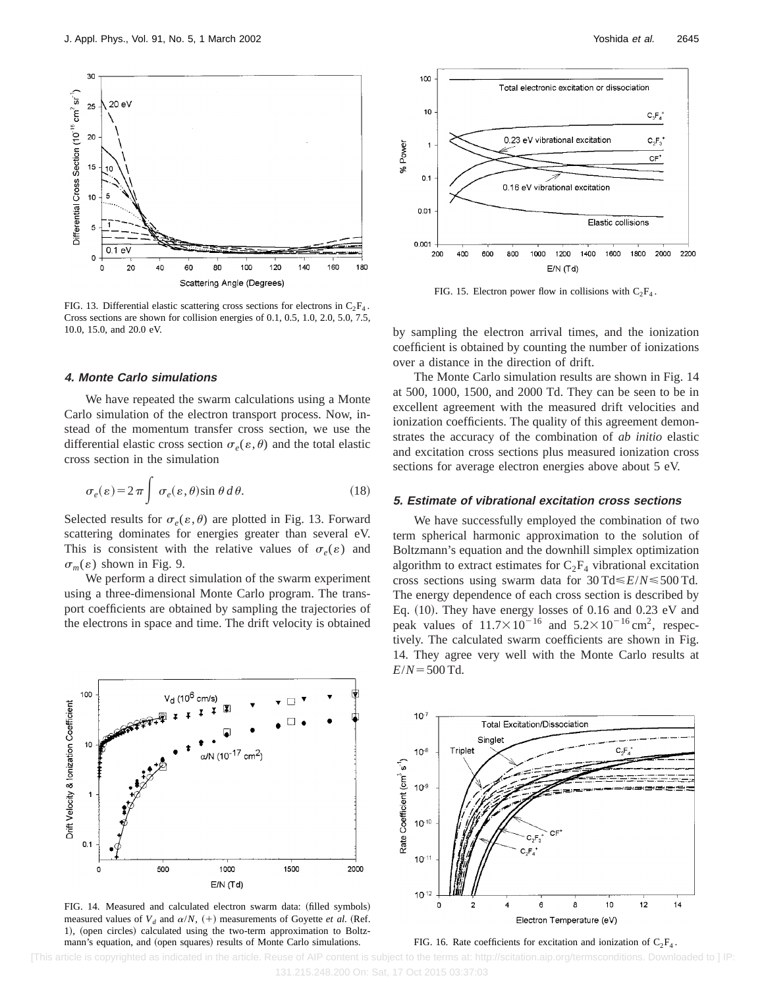

FIG. 13. Differential elastic scattering cross sections for electrons in  $C_2F_4$ . Cross sections are shown for collision energies of 0.1, 0.5, 1.0, 2.0, 5.0, 7.5, 10.0, 15.0, and 20.0 eV.

## **4. Monte Carlo simulations**

We have repeated the swarm calculations using a Monte Carlo simulation of the electron transport process. Now, instead of the momentum transfer cross section, we use the differential elastic cross section  $\sigma_e(\varepsilon,\theta)$  and the total elastic cross section in the simulation

$$
\sigma_e(\varepsilon) = 2\pi \int \sigma_e(\varepsilon, \theta) \sin \theta \, d\theta. \tag{18}
$$

Selected results for  $\sigma$ <sub>e</sub>( $\varepsilon$ , $\theta$ ) are plotted in Fig. 13. Forward scattering dominates for energies greater than several eV. This is consistent with the relative values of  $\sigma_e(\varepsilon)$  and  $\sigma_m(\varepsilon)$  shown in Fig. 9.

We perform a direct simulation of the swarm experiment using a three-dimensional Monte Carlo program. The transport coefficients are obtained by sampling the trajectories of the electrons in space and time. The drift velocity is obtained



FIG. 15. Electron power flow in collisions with  $C_2F_4$ .

by sampling the electron arrival times, and the ionization coefficient is obtained by counting the number of ionizations over a distance in the direction of drift.

The Monte Carlo simulation results are shown in Fig. 14 at 500, 1000, 1500, and 2000 Td. They can be seen to be in excellent agreement with the measured drift velocities and ionization coefficients. The quality of this agreement demonstrates the accuracy of the combination of *ab initio* elastic and excitation cross sections plus measured ionization cross sections for average electron energies above about 5 eV.

#### **5. Estimate of vibrational excitation cross sections**

We have successfully employed the combination of two term spherical harmonic approximation to the solution of Boltzmann's equation and the downhill simplex optimization algorithm to extract estimates for  $C_2F_4$  vibrational excitation cross sections using swarm data for 30 Td<*E*/*N*<500 Td. The energy dependence of each cross section is described by Eq.  $(10)$ . They have energy losses of 0.16 and 0.23 eV and peak values of  $11.7\times10^{-16}$  and  $5.2\times10^{-16}$  cm<sup>2</sup>, respectively. The calculated swarm coefficients are shown in Fig. 14. They agree very well with the Monte Carlo results at  $E/N = 500$  Td.



FIG. 14. Measured and calculated electron swarm data: (filled symbols) measured values of  $V_d$  and  $\alpha/N$ ,  $(+)$  measurements of Goyette *et al.* (Ref. 1), (open circles) calculated using the two-term approximation to Boltzmann's equation, and (open squares) results of Monte Carlo simulations.





[This article is copyrighted as indicated in the article. Reuse of AIP content is subject to the terms at: http://scitation.aip.org/termsconditions. Downloaded to ] IP: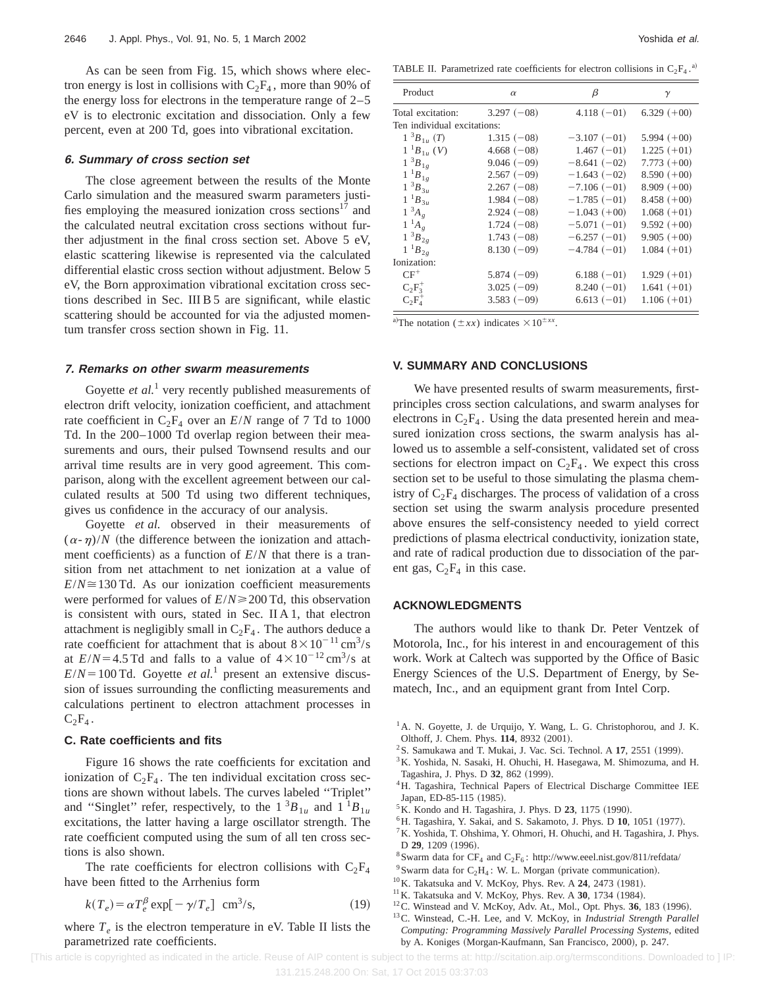As can be seen from Fig. 15, which shows where electron energy is lost in collisions with  $C_2F_4$ , more than 90% of the energy loss for electrons in the temperature range of 2–5 eV is to electronic excitation and dissociation. Only a few percent, even at 200 Td, goes into vibrational excitation.

#### **6. Summary of cross section set**

The close agreement between the results of the Monte Carlo simulation and the measured swarm parameters justifies employing the measured ionization cross sections<sup>17</sup> and the calculated neutral excitation cross sections without further adjustment in the final cross section set. Above 5 eV, elastic scattering likewise is represented via the calculated differential elastic cross section without adjustment. Below 5 eV, the Born approximation vibrational excitation cross sections described in Sec. III B 5 are significant, while elastic scattering should be accounted for via the adjusted momentum transfer cross section shown in Fig. 11.

## **7. Remarks on other swarm measurements**

Goyette *et al.*<sup>1</sup> very recently published measurements of electron drift velocity, ionization coefficient, and attachment rate coefficient in  $C_2F_4$  over an  $E/N$  range of 7 Td to 1000 Td. In the 200–1000 Td overlap region between their measurements and ours, their pulsed Townsend results and our arrival time results are in very good agreement. This comparison, along with the excellent agreement between our calculated results at 500 Td using two different techniques, gives us confidence in the accuracy of our analysis.

Goyette *et al.* observed in their measurements of  $(\alpha - \eta)/N$  (the difference between the ionization and attachment coefficients) as a function of  $E/N$  that there is a transition from net attachment to net ionization at a value of  $E/N \approx 130$  Td. As our ionization coefficient measurements were performed for values of *E*/*N*≥200 Td, this observation is consistent with ours, stated in Sec. II A 1, that electron attachment is negligibly small in  $C_2F_4$ . The authors deduce a rate coefficient for attachment that is about  $8 \times 10^{-11}$  cm<sup>3</sup>/s at  $E/N = 4.5$  Td and falls to a value of  $4 \times 10^{-12}$  cm<sup>3</sup>/s at  $E/N = 100$  Td. Goyette *et al.*<sup>1</sup> present an extensive discussion of issues surrounding the conflicting measurements and calculations pertinent to electron attachment processes in  $C_2F_4$ .

#### **C. Rate coefficients and fits**

Figure 16 shows the rate coefficients for excitation and ionization of  $C_2F_4$ . The ten individual excitation cross sections are shown without labels. The curves labeled ''Triplet'' and "Singlet" refer, respectively, to the  $1 \,^3B_{1u}$  and  $1 \,^1B_{1u}$ excitations, the latter having a large oscillator strength. The rate coefficient computed using the sum of all ten cross sections is also shown.

The rate coefficients for electron collisions with  $C_2F_4$ have been fitted to the Arrhenius form

$$
k(T_e) = \alpha T_e^{\beta} \exp[-\gamma/T_e] \text{ cm}^3/\text{s},\tag{19}
$$

where  $T_e$  is the electron temperature in eV. Table II lists the parametrized rate coefficients.

TABLE II. Parametrized rate coefficients for electron collisions in  $C_2F_4$ .<sup>a)</sup>

| Product                     | $\alpha$     | β             | $\gamma$      |
|-----------------------------|--------------|---------------|---------------|
| Total excitation:           | $3.297(-08)$ | $4.118(-01)$  | $6.329 (+00)$ |
| Ten individual excitations: |              |               |               |
| $1^{-3}B_{1\mu}(T)$         | $1.315(-08)$ | $-3.107(-01)$ | $5.994 (+00)$ |
| $1^{-1}B_{1u}$ (V)          | $4.668(-08)$ | $1.467(-01)$  | $1.225 (+01)$ |
| $1^{3}B_{1g}$               | $9.046(-09)$ | $-8.641(-02)$ | $7.773(+00)$  |
| $1^{1}B_{1g}$               | $2.567(-09)$ | $-1.643(-02)$ | $8.590 (+00)$ |
| $1~^{3}B_{3u}$              | $2.267(-08)$ | $-7.106(-01)$ | $8.909 (+00)$ |
| $1^{1}B_{3u}$               | $1.984(-08)$ | $-1.785(-01)$ | $8.458(+00)$  |
| $1^3A_g$                    | $2.924(-08)$ | $-1.043(+00)$ | $1.068 (+01)$ |
| $1^{-1}A_{g}$               | $1.724(-08)$ | $-5.071(-01)$ | $9.592 (+00)$ |
| $1^{3}B_{2g}$               | $1.743(-08)$ | $-6.257(-01)$ | $9.905 (+00)$ |
| $1^{1}B_{2g}$               | $8.130(-09)$ | $-4.784(-01)$ | $1.084 (+01)$ |
| Ionization:                 |              |               |               |
| $CF^+$                      | $5.874(-09)$ | $6.188(-01)$  | $1.929 (+01)$ |
| $C_2F_3^+$                  | $3.025(-09)$ | $8.240(-01)$  | $1.641 (+01)$ |
| $C_2F_4^+$                  | $3.583(-09)$ | $6.613(-01)$  | $1.106 (+01)$ |

a)The notation  $(\pm xx)$  indicates  $\times 10^{\pm xx}$ .

#### **V. SUMMARY AND CONCLUSIONS**

We have presented results of swarm measurements, firstprinciples cross section calculations, and swarm analyses for electrons in  $C_2F_4$ . Using the data presented herein and measured ionization cross sections, the swarm analysis has allowed us to assemble a self-consistent, validated set of cross sections for electron impact on  $C_2F_4$ . We expect this cross section set to be useful to those simulating the plasma chemistry of  $C_2F_4$  discharges. The process of validation of a cross section set using the swarm analysis procedure presented above ensures the self-consistency needed to yield correct predictions of plasma electrical conductivity, ionization state, and rate of radical production due to dissociation of the parent gas,  $C_2F_4$  in this case.

#### **ACKNOWLEDGMENTS**

The authors would like to thank Dr. Peter Ventzek of Motorola, Inc., for his interest in and encouragement of this work. Work at Caltech was supported by the Office of Basic Energy Sciences of the U.S. Department of Energy, by Sematech, Inc., and an equipment grant from Intel Corp.

- <sup>2</sup> S. Samukawa and T. Mukai, J. Vac. Sci. Technol. A  $17$ , 2551 (1999).
- 3K. Yoshida, N. Sasaki, H. Ohuchi, H. Hasegawa, M. Shimozuma, and H. Tagashira, J. Phys. D 32, 862 (1999).
- <sup>4</sup>H. Tagashira, Technical Papers of Electrical Discharge Committee IEE Japan, ED-85-115 (1985).
- <sup>5</sup>K. Kondo and H. Tagashira, J. Phys. D **23**, 1175 (1990).
- <sup>6</sup>H. Tagashira, Y. Sakai, and S. Sakamoto, J. Phys. D 10, 1051 (1977).
- <sup>7</sup>K. Yoshida, T. Ohshima, Y. Ohmori, H. Ohuchi, and H. Tagashira, J. Phys. D 29, 1209 (1996).
- $8$ Swarm data for CF<sub>4</sub> and C<sub>2</sub>F<sub>6</sub>: http://www.eeel.nist.gov/811/refdata/
- <sup>9</sup>Swarm data for  $C_2H_4$ : W. L. Morgan (private communication).
- <sup>10</sup>K. Takatsuka and V. McKoy, Phys. Rev. A **24**, 2473 (1981).
- <sup>11</sup>K. Takatsuka and V. McKoy, Phys. Rev. A 30, 1734 (1984).
- <sup>12</sup>C. Winstead and V. McKoy, Adv. At., Mol., Opt. Phys. **36**, 183 (1996).
- 13C. Winstead, C.-H. Lee, and V. McKoy, in *Industrial Strength Parallel Computing: Programming Massively Parallel Processing Systems*, edited by A. Koniges (Morgan-Kaufmann, San Francisco, 2000), p. 247.

[This article is copyrighted as indicated in the article. Reuse of AIP content is subject to the terms at: http://scitation.aip.org/termsconditions. Downloaded to ] IP:

<sup>&</sup>lt;sup>1</sup>A. N. Goyette, J. de Urquijo, Y. Wang, L. G. Christophorou, and J. K. Olthoff, J. Chem. Phys. 114, 8932 (2001).